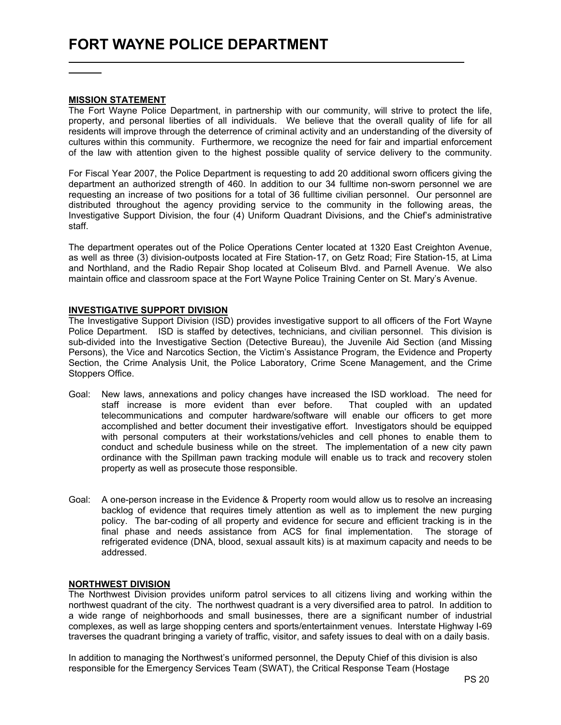### MISSION STATEMENT

The Fort Wayne Police Department, in partnership with our community, will strive to protect the life, property, and personal liberties of all individuals. We believe that the overall quality of life for all residents will improve through the deterrence of criminal activity and an understanding of the diversity of cultures within this community. Furthermore, we recognize the need for fair and impartial enforcement of the law with attention given to the highest possible quality of service delivery to the community.

For Fiscal Year 2007, the Police Department is requesting to add 20 additional sworn officers giving the department an authorized strength of 460. In addition to our 34 fulltime non-sworn personnel we are requesting an increase of two positions for a total of 36 fulltime civilian personnel. Our personnel are distributed throughout the agency providing service to the community in the following areas, the Investigative Support Division, the four (4) Uniform Quadrant Divisions, and the Chief's administrative staff.

The department operates out of the Police Operations Center located at 1320 East Creighton Avenue, as well as three (3) division-outposts located at Fire Station-17, on Getz Road; Fire Station-15, at Lima and Northland, and the Radio Repair Shop located at Coliseum Blvd. and Parnell Avenue. We also maintain office and classroom space at the Fort Wayne Police Training Center on St. Mary's Avenue.

## INVESTIGATIVE SUPPORT DIVISION

The Investigative Support Division (ISD) provides investigative support to all officers of the Fort Wayne Police Department. ISD is staffed by detectives, technicians, and civilian personnel. This division is sub-divided into the Investigative Section (Detective Bureau), the Juvenile Aid Section (and Missing Persons), the Vice and Narcotics Section, the Victim's Assistance Program, the Evidence and Property Section, the Crime Analysis Unit, the Police Laboratory, Crime Scene Management, and the Crime Stoppers Office.

- Goal: New laws, annexations and policy changes have increased the ISD workload. The need for staff increase is more evident than ever before. That coupled with an updated telecommunications and computer hardware/software will enable our officers to get more accomplished and better document their investigative effort. Investigators should be equipped with personal computers at their workstations/vehicles and cell phones to enable them to conduct and schedule business while on the street. The implementation of a new city pawn ordinance with the Spillman pawn tracking module will enable us to track and recovery stolen property as well as prosecute those responsible.
- Goal: A one-person increase in the Evidence & Property room would allow us to resolve an increasing backlog of evidence that requires timely attention as well as to implement the new purging policy. The bar-coding of all property and evidence for secure and efficient tracking is in the final phase and needs assistance from ACS for final implementation. The storage of refrigerated evidence (DNA, blood, sexual assault kits) is at maximum capacity and needs to be addressed.

## NORTHWEST DIVISION

The Northwest Division provides uniform patrol services to all citizens living and working within the northwest quadrant of the city. The northwest quadrant is a very diversified area to patrol. In addition to a wide range of neighborhoods and small businesses, there are a significant number of industrial complexes, as well as large shopping centers and sports/entertainment venues. Interstate Highway I-69 traverses the quadrant bringing a variety of traffic, visitor, and safety issues to deal with on a daily basis.

In addition to managing the Northwest's uniformed personnel, the Deputy Chief of this division is also responsible for the Emergency Services Team (SWAT), the Critical Response Team (Hostage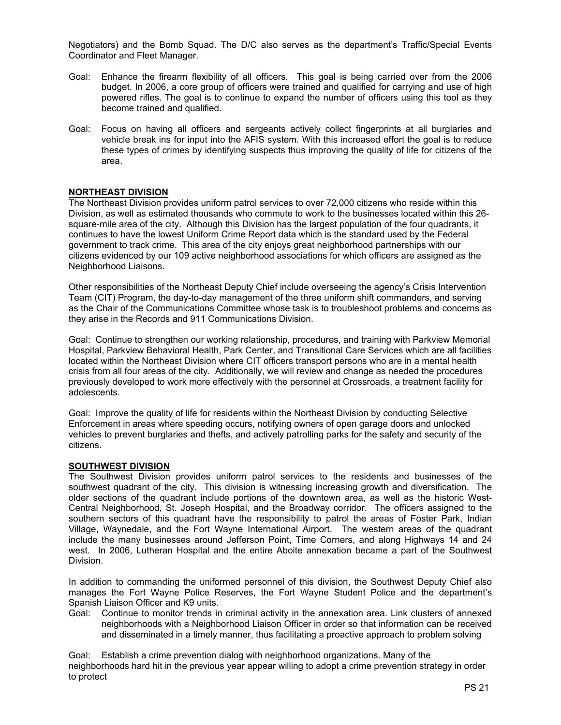Negotiators) and the Bomb Squad. The D/C also serves as the department's Traffic/Special Events Coordinator and Fleet Manager.

- Goal: Enhance the firearm flexibility of all officers. This goal is being carried over from the 2006 budget. In 2006, a core group of officers were trained and qualified for carrying and use of high powered rifles. The goal is to continue to expand the number of officers using this tool as they become trained and qualified.
- Goal: Focus on having all officers and sergeants actively collect fingerprints at all burglaries and vehicle break ins for input into the AFIS system. With this increased effort the goal is to reduce these types of crimes by identifying suspects thus improving the quality of life for citizens of the area.

## NORTHEAST DIVISION

The Northeast Division provides uniform patrol services to over 72,000 citizens who reside within this Division, as well as estimated thousands who commute to work to the businesses located within this 26 square-mile area of the city. Although this Division has the largest population of the four quadrants, it continues to have the lowest Uniform Crime Report data which is the standard used by the Federal government to track crime. This area of the city enjoys great neighborhood partnerships with our citizens evidenced by our 109 active neighborhood associations for which officers are assigned as the Neighborhood Liaisons.

Other responsibilities of the Northeast Deputy Chief include overseeing the agency's Crisis Intervention Team (CIT) Program, the day-to-day management of the three uniform shift commanders, and serving as the Chair of the Communications Committee whose task is to troubleshoot problems and concerns as they arise in the Records and 911 Communications Division.

Goal: Continue to strengthen our working relationship, procedures, and training with Parkview Memorial Hospital, Parkview Behavioral Health, Park Center, and Transitional Care Services which are all facilities located within the Northeast Division where CIT officers transport persons who are in a mental health crisis from all four areas of the city. Additionally, we will review and change as needed the procedures previously developed to work more effectively with the personnel at Crossroads, a treatment facility for adolescents.

Goal: Improve the quality of life for residents within the Northeast Division by conducting Selective Enforcement in areas where speeding occurs, notifying owners of open garage doors and unlocked vehicles to prevent burglaries and thefts, and actively patrolling parks for the safety and security of the citizens.

## SOUTHWEST DIVISION

The Southwest Division provides uniform patrol services to the residents and businesses of the southwest quadrant of the city. This division is witnessing increasing growth and diversification. The older sections of the quadrant include portions of the downtown area, as well as the historic West-Central Neighborhood, St. Joseph Hospital, and the Broadway corridor. The officers assigned to the southern sectors of this quadrant have the responsibility to patrol the areas of Foster Park, Indian Village, Waynedale, and the Fort Wayne International Airport. The western areas of the quadrant include the many businesses around Jefferson Point, Time Corners, and along Highways 14 and 24 west. In 2006, Lutheran Hospital and the entire Aboite annexation became a part of the Southwest Division.

In addition to commanding the uniformed personnel of this division, the Southwest Deputy Chief also manages the Fort Wayne Police Reserves, the Fort Wayne Student Police and the department's Spanish Liaison Officer and K9 units.

Goal: Continue to monitor trends in criminal activity in the annexation area. Link clusters of annexed neighborhoods with a Neighborhood Liaison Officer in order so that information can be received and disseminated in a timely manner, thus facilitating a proactive approach to problem solving

Goal: Establish a crime prevention dialog with neighborhood organizations. Many of the neighborhoods hard hit in the previous year appear willing to adopt a crime prevention strategy in order to protect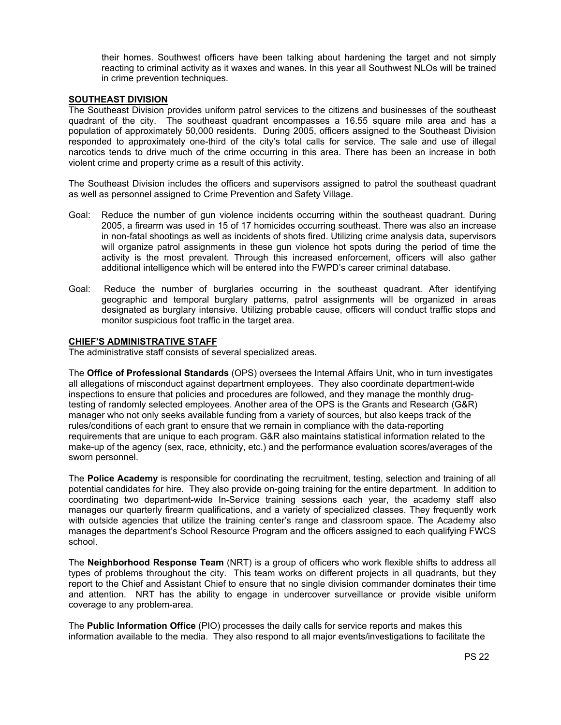their homes. Southwest officers have been talking about hardening the target and not simply reacting to criminal activity as it waxes and wanes. In this year all Southwest NLOs will be trained in crime prevention techniques.

## SOUTHEAST DIVISION

The Southeast Division provides uniform patrol services to the citizens and businesses of the southeast quadrant of the city. The southeast quadrant encompasses a 16.55 square mile area and has a population of approximately 50,000 residents. During 2005, officers assigned to the Southeast Division responded to approximately one-third of the city's total calls for service. The sale and use of illegal narcotics tends to drive much of the crime occurring in this area. There has been an increase in both violent crime and property crime as a result of this activity.

The Southeast Division includes the officers and supervisors assigned to patrol the southeast quadrant as well as personnel assigned to Crime Prevention and Safety Village.

- Goal: Reduce the number of gun violence incidents occurring within the southeast quadrant. During 2005, a firearm was used in 15 of 17 homicides occurring southeast. There was also an increase in non-fatal shootings as well as incidents of shots fired. Utilizing crime analysis data, supervisors will organize patrol assignments in these gun violence hot spots during the period of time the activity is the most prevalent. Through this increased enforcement, officers will also gather additional intelligence which will be entered into the FWPD's career criminal database.
- Goal: Reduce the number of burglaries occurring in the southeast quadrant. After identifying geographic and temporal burglary patterns, patrol assignments will be organized in areas designated as burglary intensive. Utilizing probable cause, officers will conduct traffic stops and monitor suspicious foot traffic in the target area.

#### CHIEF'S ADMINISTRATIVE STAFF

The administrative staff consists of several specialized areas.

The Office of Professional Standards (OPS) oversees the Internal Affairs Unit, who in turn investigates all allegations of misconduct against department employees. They also coordinate department-wide inspections to ensure that policies and procedures are followed, and they manage the monthly drugtesting of randomly selected employees. Another area of the OPS is the Grants and Research (G&R) manager who not only seeks available funding from a variety of sources, but also keeps track of the rules/conditions of each grant to ensure that we remain in compliance with the data-reporting requirements that are unique to each program. G&R also maintains statistical information related to the make-up of the agency (sex, race, ethnicity, etc.) and the performance evaluation scores/averages of the sworn personnel.

The Police Academy is responsible for coordinating the recruitment, testing, selection and training of all potential candidates for hire. They also provide on-going training for the entire department. In addition to coordinating two department-wide In-Service training sessions each year, the academy staff also manages our quarterly firearm qualifications, and a variety of specialized classes. They frequently work with outside agencies that utilize the training center's range and classroom space. The Academy also manages the department's School Resource Program and the officers assigned to each qualifying FWCS school.

The Neighborhood Response Team (NRT) is a group of officers who work flexible shifts to address all types of problems throughout the city. This team works on different projects in all quadrants, but they report to the Chief and Assistant Chief to ensure that no single division commander dominates their time and attention. NRT has the ability to engage in undercover surveillance or provide visible uniform coverage to any problem-area.

The Public Information Office (PIO) processes the daily calls for service reports and makes this information available to the media. They also respond to all major events/investigations to facilitate the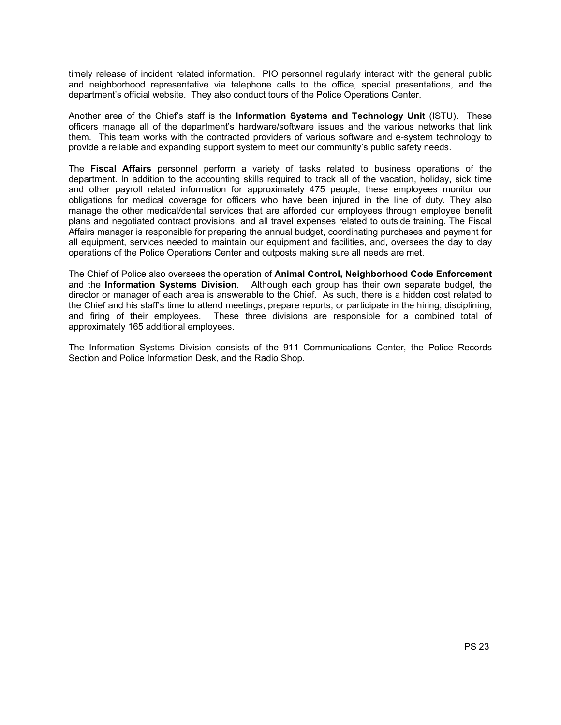timely release of incident related information. PIO personnel regularly interact with the general public and neighborhood representative via telephone calls to the office, special presentations, and the department's official website. They also conduct tours of the Police Operations Center.

Another area of the Chief's staff is the Information Systems and Technology Unit (ISTU). These officers manage all of the department's hardware/software issues and the various networks that link them. This team works with the contracted providers of various software and e-system technology to provide a reliable and expanding support system to meet our community's public safety needs.

The Fiscal Affairs personnel perform a variety of tasks related to business operations of the department. In addition to the accounting skills required to track all of the vacation, holiday, sick time and other payroll related information for approximately 475 people, these employees monitor our obligations for medical coverage for officers who have been injured in the line of duty. They also manage the other medical/dental services that are afforded our employees through employee benefit plans and negotiated contract provisions, and all travel expenses related to outside training. The Fiscal Affairs manager is responsible for preparing the annual budget, coordinating purchases and payment for all equipment, services needed to maintain our equipment and facilities, and, oversees the day to day operations of the Police Operations Center and outposts making sure all needs are met.

The Chief of Police also oversees the operation of Animal Control, Neighborhood Code Enforcement and the Information Systems Division. Although each group has their own separate budget, the director or manager of each area is answerable to the Chief. As such, there is a hidden cost related to the Chief and his staff's time to attend meetings, prepare reports, or participate in the hiring, disciplining, and firing of their employees. These three divisions are responsible for a combined total of approximately 165 additional employees.

The Information Systems Division consists of the 911 Communications Center, the Police Records Section and Police Information Desk, and the Radio Shop.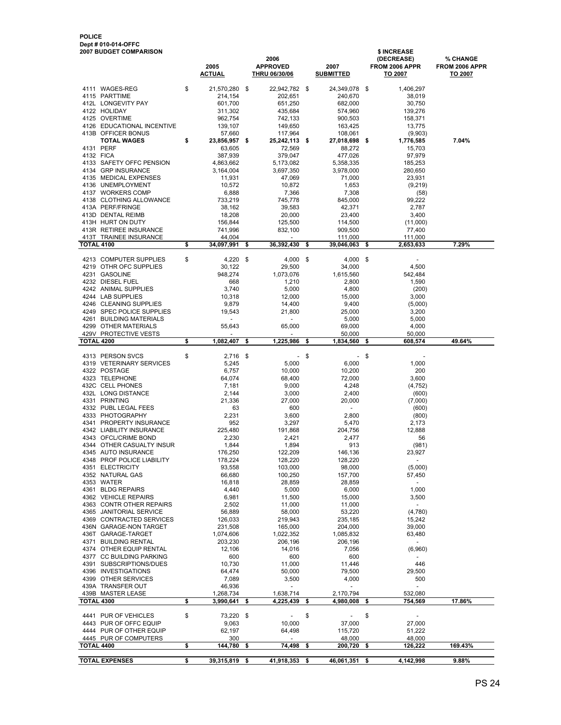|                   | 4138 CLOTHING ALLOWANCE    | 733,219          | 745,778          | 845,000              |     | 99,222    |         |
|-------------------|----------------------------|------------------|------------------|----------------------|-----|-----------|---------|
|                   | 413A PERF/FRINGE           | 38,162           | 39,583           | 42,371               |     | 2,787     |         |
|                   | 413D DENTAL REIMB          | 18,208           | 20,000           | 23,400               |     | 3,400     |         |
|                   | 413H HURT ON DUTY          | 156,844          | 125,500          | 114,500              |     | (11,000)  |         |
|                   | 413R RETIREE INSURANCE     | 741,996          | 832,100          | 909,500              |     | 77,400    |         |
|                   | 413T TRAINEE INSURANCE     | 44,004           |                  | 111,000              |     | 111,000   |         |
| <b>TOTAL 4100</b> |                            | \$<br>34,097,991 | \$<br>36,392,430 | \$<br>39,046,063     | \$  | 2,653,633 | 7.29%   |
|                   |                            |                  |                  |                      |     |           |         |
|                   | 4213 COMPUTER SUPPLIES     | \$<br>4,220      | \$<br>4,000      | \$<br>$4,000$ \$     |     |           |         |
|                   | 4219 OTHR OFC SUPPLIES     | 30,122           | 29,500           | 34,000               |     | 4,500     |         |
|                   | 4231 GASOLINE              | 948,274          | 1,073,076        | 1,615,560            |     | 542,484   |         |
|                   | 4232 DIESEL FUEL           | 668              | 1,210            | 2,800                |     | 1,590     |         |
|                   | 4242 ANIMAL SUPPLIES       | 3,740            | 5,000            | 4,800                |     | (200)     |         |
|                   | 4244 LAB SUPPLIES          | 10,318           | 12,000           | 15,000               |     | 3,000     |         |
|                   | 4246 CLEANING SUPPLIES     | 9,879            | 14,400           | 9,400                |     | (5,000)   |         |
|                   | 4249 SPEC POLICE SUPPLIES  | 19,543           | 21,800           | 25,000               |     | 3,200     |         |
|                   | 4261 BUILDING MATERIALS    | $\overline{a}$   | $\overline{a}$   | 5,000                |     | 5,000     |         |
|                   | 4299 OTHER MATERIALS       | 55,643           | 65,000           | 69,000               |     | 4,000     |         |
|                   | 429V PROTECTIVE VESTS      |                  |                  | 50,000               |     | 50,000    |         |
| <b>TOTAL 4200</b> |                            | \$<br>1,082,407  | \$<br>1,225,986  | \$<br>1,834,560      | \$  | 608,574   | 49.64%  |
|                   |                            |                  |                  |                      |     |           |         |
|                   | 4313 PERSON SVCS           | \$<br>2,716      | \$<br>÷,         | \$<br>$\sim$         | -\$ |           |         |
|                   | 4319 VETERINARY SERVICES   | 5,245            | 5,000            | 6,000                |     | 1,000     |         |
|                   | 4322 POSTAGE               | 6,757            | 10,000           | 10,200               |     | 200       |         |
|                   | 4323 TELEPHONE             | 64,074           | 68,400           | 72,000               |     | 3,600     |         |
|                   | 432C CELL PHONES           | 7,181            | 9,000            | 4,248                |     | (4, 752)  |         |
|                   | 432L LONG DISTANCE         | 2,144            | 3,000            | 2,400                |     | (600)     |         |
|                   | 4331 PRINTING              | 21,336           | 27,000           | 20,000               |     | (7,000)   |         |
|                   | 4332 PUBL LEGAL FEES       | 63               | 600              | $\sim$               |     | (600)     |         |
|                   | 4333 PHOTOGRAPHY           | 2,231            | 3.600            | 2.800                |     | (800)     |         |
|                   | 4341 PROPERTY INSURANCE    | 952              | 3,297            | 5,470                |     | 2,173     |         |
|                   | 4342 LIABILITY INSURANCE   | 225,480          | 191,868          | 204,756              |     | 12,888    |         |
|                   | 4343 OFCL/CRIME BOND       | 2,230            | 2.421            | 2.477                |     | 56        |         |
|                   | 4344 OTHER CASUALTY INSUR  | 1,844            | 1,894            | 913                  |     | (981)     |         |
|                   | 4345 AUTO INSURANCE        | 176,250          | 122,209          | 146,136              |     | 23,927    |         |
|                   | 4348 PROF POLICE LIABILITY | 178,224          | 128,220          | 128,220              |     |           |         |
|                   | 4351 ELECTRICITY           | 93,558           | 103,000          | 98,000               |     | (5,000)   |         |
|                   | 4352 NATURAL GAS           | 66,680           | 100,250          | 157,700              |     | 57,450    |         |
|                   | 4353 WATER                 | 16,818           | 28,859           | 28,859               |     |           |         |
|                   | 4361 BLDG REPAIRS          | 4,440            | 5,000            | 6,000                |     | 1,000     |         |
|                   | 4362 VEHICLE REPAIRS       | 6,981            | 11,500           | 15,000               |     | 3,500     |         |
|                   | 4363 CONTR OTHER REPAIRS   | 2,502            | 11,000           | 11,000               |     | $\sim$    |         |
|                   | 4365 JANITORIAL SERVICE    | 56,889           | 58,000           | 53,220               |     | (4,780)   |         |
|                   | 4369 CONTRACTED SERVICES   | 126,033          | 219,943          | 235,185              |     | 15,242    |         |
|                   | 436N GARAGE-NON TARGET     | 231,508          | 165,000          | 204,000              |     | 39,000    |         |
|                   | 436T GARAGE-TARGET         | 1,074,606        | 1,022,352        | 1,085,832            |     | 63,480    |         |
|                   | 4371 BUILDING RENTAL       | 203,230          | 206,196          | 206,196              |     | $\sim$    |         |
|                   | 4374 OTHER EQUIP RENTAL    | 12,106           | 14,016           | 7,056                |     | (6,960)   |         |
|                   | 4377 CC BUILDING PARKING   | 600              | 600              | 600                  |     |           |         |
|                   | 4391 SUBSCRIPTIONS/DUES    | 10,730           | 11,000           | 11,446               |     | 446       |         |
|                   | 4396 INVESTIGATIONS        | 64,474           | 50,000           | 79,500               |     | 29.500    |         |
|                   | 4399 OTHER SERVICES        | 7,089            | 3,500            | 4,000                |     | 500       |         |
|                   | 439A TRANSFER OUT          | 46,936           |                  | $\overline{a}$       |     |           |         |
|                   | 439B MASTER LEASE          | 1,268,734        | 1,638,714        | 2,170,794            |     | 532,080   |         |
| <b>TOTAL 4300</b> |                            | \$<br>3,990,641  | \$<br>4,225,439  | \$<br>4,980,008      | \$  | 754,569   | 17.86%  |
|                   |                            |                  |                  |                      |     |           |         |
|                   | 4441 PUR OF VEHICLES       | \$<br>73,220     | \$               | \$<br>$\overline{a}$ | \$  |           |         |
|                   | 4443 PUR OF OFFC EQUIP     | 9,063            | 10,000           | 37,000               |     | 27,000    |         |
|                   | 4444 PUR OF OTHER EQUIP    | 62,197           | 64,498           | 115,720              |     | 51,222    |         |
|                   | 4445 PUR OF COMPUTERS      | 300              |                  | 48,000               |     | 48,000    |         |
| <b>TOTAL 4400</b> |                            | \$<br>144,780    | \$<br>74,498     | \$<br>200,720        | \$  | 126,222   | 169.43% |
|                   |                            |                  |                  |                      |     |           | 9.88%   |
|                   | <b>TOTAL EXPENSES</b>      | \$<br>39,315,819 | \$<br>41,918,353 | \$<br>46,061,351     | \$  | 4,142,998 |         |
|                   |                            |                  |                  |                      |     |           |         |

2006 (DECREASE) % CHANGE<br>APPROVED 2007 FROM 2006 APPR FROM 2006 APPR

2005 APPROVED 2007 FROM 2006 APPR FROM 2006 A<br><u>ACTUAL THRU 06/30/06 SUBMITTED TO 2007</u> TO 2007

**THRU 06/30/06** 

TOTAL WAGES **\$** 23,856,957 \$ 25,242,113 \$ 27,018,698 \$ 1,776,585 7.04%<br>4131 PERF 63,605 72,569 88,272 15,703

4111 WAGES-REG  $$21,570,280 \$ 22,942,782 \$ 24,349,078 \$ 1,406,297 \4115 PARTTIME 214,154 202,651 240,670 38,019$ 4115 PARTTIME 214,154 202,651 240,670 38,019 412L LONGEVITY PAY 601,700 651,250 682,000 30,750 4122 HOLIDAY 311,302 435,684 574,960 139,276 4125 OVERTIME 962,754 742,133 900,503 158,371 4126 EDUCATIONAL INCENTIVE 139,107 149,650 163,425 13,775 413B OFFICER BONUS 67,660 117,964 108,061 (9,903)<br>**TOTAL WAGES 6 33,856,957 \$ 25,242,113 \$ 27,018,698 \$ 1,776,585** 

4131 PERF 72,569 63,605 88,272 15,703 4132 FICA 379,047 387,939 477,026 97,979 4133 SAFETY OFFC PENSION 4,863,662 5,173,082 5,358,335 185,253 4134 GRP INSURANCE 3,164,004 3,697,350 3,978,000 280,650 4135 MEDICAL EXPENSES 11,931 47,069 71,000 23,931<br>4136 UNEMPLOYMENT 10,572 10,872 1,653 (9,219)

4137 WORKERS COMP 6,888 7,366 7,308 (58)

#### POLICE Dept # 010-014-OFFC 2007 BUDGET COMPARISON \$ INCREASE \$ INCREASE \$ INCREASE \$ INCREASE \$ INCREASE \$ INCREASE \$

4136 UNEMPLOYMENT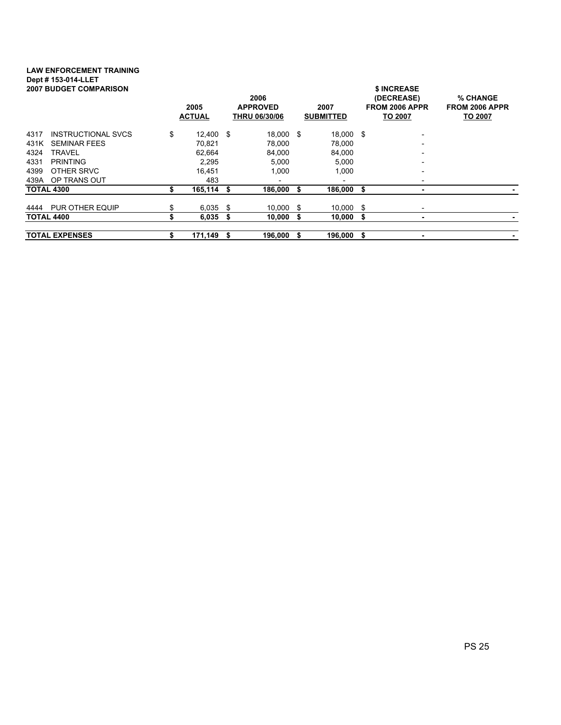# LAW ENFORCEMENT TRAINING Dept # 153-014-LLET

| <b>2007 BUDGET COMPARISON</b>     | 2005<br><b>ACTUAL</b> | 2006<br><b>APPROVED</b><br><b>THRU 06/30/06</b> |           |      | 2007<br><b>SUBMITTED</b> |    | \$ INCREASE<br>(DECREASE)<br>FROM 2006 APPR<br><b>TO 2007</b> | % CHANGE<br>FROM 2006 APPR<br>TO 2007 |
|-----------------------------------|-----------------------|-------------------------------------------------|-----------|------|--------------------------|----|---------------------------------------------------------------|---------------------------------------|
|                                   |                       |                                                 |           |      |                          |    |                                                               |                                       |
| <b>INSTRUCTIONAL SVCS</b><br>4317 | \$<br>12.400 \$       |                                                 | 18.000 \$ |      | 18,000 \$                |    | $\overline{\phantom{0}}$                                      |                                       |
| 431K<br><b>SEMINAR FEES</b>       | 70.821                |                                                 | 78,000    |      | 78,000                   |    | $\overline{\phantom{0}}$                                      |                                       |
| 4324<br>TRAVEL                    | 62.664                |                                                 | 84.000    |      | 84,000                   |    | -                                                             |                                       |
| 4331<br><b>PRINTING</b>           | 2,295                 |                                                 | 5,000     |      | 5,000                    |    | $\overline{\phantom{0}}$                                      |                                       |
| 4399<br>OTHER SRVC                | 16.451                |                                                 | 1.000     |      | 1,000                    |    | -                                                             |                                       |
| 439A OP TRANS OUT                 | 483                   |                                                 |           |      | $\overline{\phantom{a}}$ |    | -                                                             |                                       |
| <b>TOTAL 4300</b>                 | \$<br>$165,114$ \$    |                                                 | 186,000   | -S   | 186,000                  | \$ | ۰                                                             |                                       |
| PUR OTHER EQUIP<br>4444           | \$<br>$6,035$ \$      |                                                 | 10,000    | - \$ | 10,000                   | -S | $\overline{\phantom{a}}$                                      |                                       |
| <b>TOTAL 4400</b>                 | 6,035                 | - \$                                            | 10,000    | - \$ | 10,000                   | \$ |                                                               |                                       |
| <b>TOTAL EXPENSES</b>             | \$<br>171,149 \$      |                                                 | 196.000   | - \$ | 196,000                  | \$ | ۰                                                             |                                       |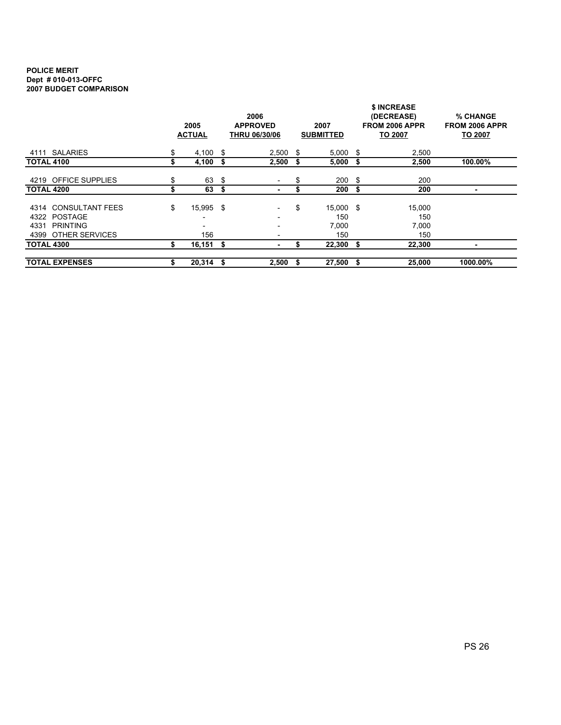#### POLICE MERIT Dept # 010-013-OFFC 2007 BUDGET COMPARISON

|                                                |                       |                                         | 2006                     |      | \$ INCREASE<br>% CHANGE  |      |                                                |                                  |  |  |  |  |  |
|------------------------------------------------|-----------------------|-----------------------------------------|--------------------------|------|--------------------------|------|------------------------------------------------|----------------------------------|--|--|--|--|--|
|                                                | 2005<br><b>ACTUAL</b> | <b>APPROVED</b><br><b>THRU 06/30/06</b> |                          |      | 2007<br><b>SUBMITTED</b> |      | (DECREASE)<br>FROM 2006 APPR<br><b>TO 2007</b> | FROM 2006 APPR<br><b>TO 2007</b> |  |  |  |  |  |
| 4111 SALARIES                                  | \$<br>4,100           | - \$                                    | 2,500                    | - \$ | 5,000                    | - \$ | 2,500                                          |                                  |  |  |  |  |  |
| <b>TOTAL 4100</b>                              | \$<br>4,100           | \$                                      | 2,500                    | \$   | $5,000$ \$               |      | 2,500                                          | 100.00%                          |  |  |  |  |  |
| 4219 OFFICE SUPPLIES                           | \$<br>63              | \$                                      | $\overline{\phantom{a}}$ | \$   | 200                      | - \$ | 200                                            |                                  |  |  |  |  |  |
| <b>TOTAL 4200</b>                              | \$<br>63              | \$                                      | $\overline{\phantom{a}}$ |      | 200                      | - \$ | 200                                            |                                  |  |  |  |  |  |
| <b>CONSULTANT FEES</b><br>4314<br>4322 POSTAGE | \$<br>15,995 \$       |                                         | $\overline{\phantom{0}}$ | \$   | 15,000 \$<br>150         |      | 15,000<br>150                                  |                                  |  |  |  |  |  |
| 4331<br><b>PRINTING</b><br>4399 OTHER SERVICES | 156                   |                                         |                          |      | 7,000<br>150             |      | 7,000<br>150                                   |                                  |  |  |  |  |  |
| <b>TOTAL 4300</b>                              | \$<br>$16,151$ \$     |                                         | $\overline{\phantom{a}}$ | S    | 22,300                   | - \$ | 22.300                                         |                                  |  |  |  |  |  |
| <b>TOTAL EXPENSES</b>                          | \$<br>$20,314$ \$     |                                         | 2,500                    | S    | $27,500$ \$              |      | 25,000                                         | 1000.00%                         |  |  |  |  |  |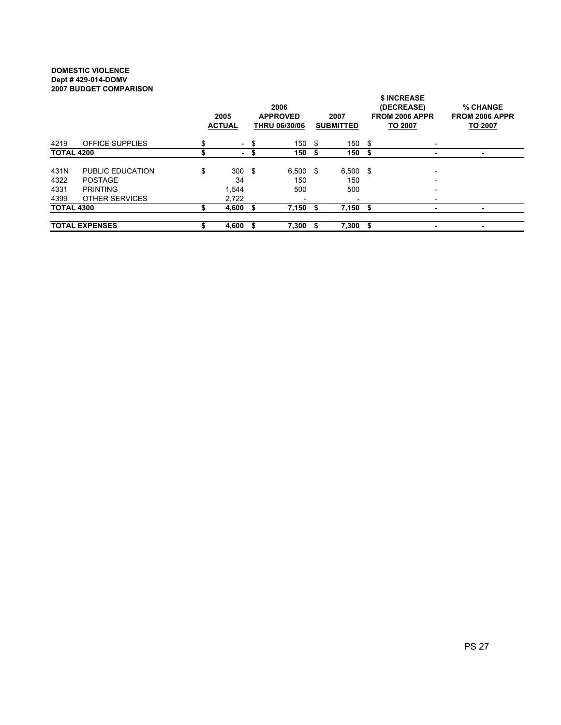#### DOMESTIC VIOLENCE Dept # 429-014-DOMV 2007 BUDGET COMPARISON

| יוטטווא וווטט ובוטשט ויטט    |                                                                                | 2005<br><b>ACTUAL</b>                | 2006<br><b>APPROVED</b><br><b>THRU 06/30/06</b>      | 2007<br><b>SUBMITTED</b> |                          |      | <b>\$ INCREASE</b><br>(DECREASE)<br><b>FROM 2006 APPR</b><br>TO 2007 | <b>% CHANGE</b><br>FROM 2006 APPR<br>TO 2007 |  |  |
|------------------------------|--------------------------------------------------------------------------------|--------------------------------------|------------------------------------------------------|--------------------------|--------------------------|------|----------------------------------------------------------------------|----------------------------------------------|--|--|
| 4219                         | <b>OFFICE SUPPLIES</b>                                                         | \$<br>$\overline{\phantom{a}}$       | \$<br>150                                            | -S                       | 150                      | - \$ |                                                                      |                                              |  |  |
| <b>TOTAL 4200</b>            |                                                                                | ٠                                    | \$<br>150                                            |                          | 150                      | S    |                                                                      | ٠                                            |  |  |
| 431N<br>4322<br>4331<br>4399 | PUBLIC EDUCATION<br><b>POSTAGE</b><br><b>PRINTING</b><br><b>OTHER SERVICES</b> | \$<br>$300*$<br>34<br>1,544<br>2,722 | $6.500$ \$<br>150<br>500<br>$\overline{\phantom{a}}$ |                          | $6,500$ \$<br>150<br>500 |      |                                                                      |                                              |  |  |
| <b>TOTAL 4300</b>            |                                                                                | 4,600                                | 7,150                                                |                          | 7,150                    | Ŝ.   | ۰                                                                    | ۰                                            |  |  |
| <b>TOTAL EXPENSES</b>        |                                                                                | 4,600                                | 7,300                                                |                          | 7,300                    | \$   | ۰                                                                    | ۰                                            |  |  |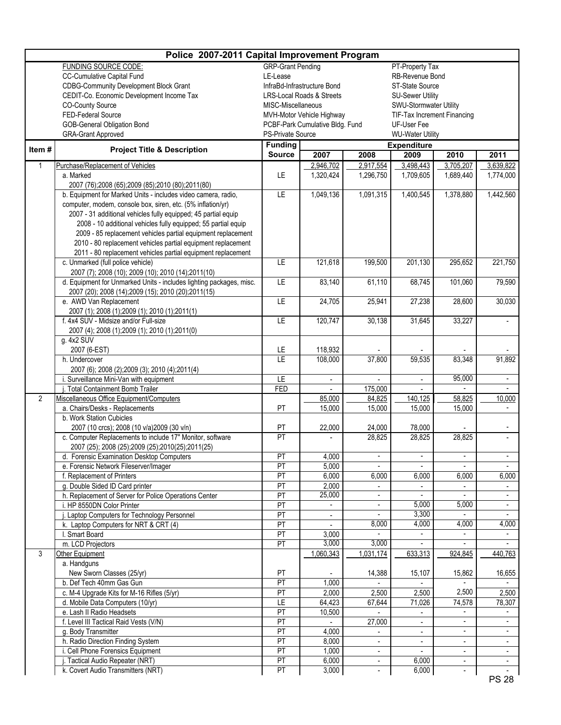|                | Police 2007-2011 Capital Improvement Program                                             |                          |                                      |                |                                 |                          |                |  |  |  |  |  |  |
|----------------|------------------------------------------------------------------------------------------|--------------------------|--------------------------------------|----------------|---------------------------------|--------------------------|----------------|--|--|--|--|--|--|
|                | <b>FUNDING SOURCE CODE:</b>                                                              | <b>GRP-Grant Pending</b> |                                      |                | PT-Property Tax                 |                          |                |  |  |  |  |  |  |
|                | CC-Cumulative Capital Fund                                                               | LE-Lease                 |                                      |                | RB-Revenue Bond                 |                          |                |  |  |  |  |  |  |
|                | <b>CDBG-Community Development Block Grant</b>                                            |                          | InfraBd-Infrastructure Bond          |                | ST-State Source                 |                          |                |  |  |  |  |  |  |
|                | CEDIT-Co. Economic Development Income Tax                                                |                          | <b>LRS-Local Roads &amp; Streets</b> |                | <b>SU-Sewer Utility</b>         |                          |                |  |  |  |  |  |  |
|                | CO-County Source                                                                         | MISC-Miscellaneous       |                                      |                | SWU-Stormwater Utility          |                          |                |  |  |  |  |  |  |
|                | FED-Federal Source                                                                       |                          | MVH-Motor Vehicle Highway            |                | TIF-Tax Increment Financing     |                          |                |  |  |  |  |  |  |
|                | GOB-General Obligation Bond                                                              |                          | PCBF-Park Cumulative Bldg. Fund      |                | UF-User Fee                     |                          |                |  |  |  |  |  |  |
|                | <b>GRA-Grant Approved</b>                                                                | <b>PS-Private Source</b> |                                      |                | <b>WU-Water Utility</b>         |                          |                |  |  |  |  |  |  |
|                |                                                                                          | <b>Funding</b>           |                                      |                | <b>Expenditure</b>              |                          |                |  |  |  |  |  |  |
| Item#          | <b>Project Title &amp; Description</b>                                                   | <b>Source</b>            | 2007                                 | 2008           | 2011                            |                          |                |  |  |  |  |  |  |
| 1              | Purchase/Replacement of Vehicles                                                         |                          | 2,946,702                            | 2,917,554      | 3,498,443                       | 3,705,207                | 3,639,822      |  |  |  |  |  |  |
|                | a. Marked                                                                                | LE                       | 1,320,424                            | 1,296,750      | 1,709,605                       | 1,689,440                | 1,774,000      |  |  |  |  |  |  |
|                | 2007 (76);2008 (65);2009 (85);2010 (80);2011(80)                                         |                          |                                      |                |                                 |                          |                |  |  |  |  |  |  |
|                | b. Equipment for Marked Units - includes video camera, radio,                            | E                        | 1,049,136                            | 1,091,315      | $\overline{1,}400,545$          | 1,378,880                | 1,442,560      |  |  |  |  |  |  |
|                | computer, modem, console box, siren, etc. (5% inflation/yr)                              |                          |                                      |                |                                 |                          |                |  |  |  |  |  |  |
|                | 2007 - 31 additional vehicles fully equipped; 45 partial equip                           |                          |                                      |                |                                 |                          |                |  |  |  |  |  |  |
|                | 2008 - 10 additional vehicles fully equipped; 55 partial equip                           |                          |                                      |                |                                 |                          |                |  |  |  |  |  |  |
|                | 2009 - 85 replacement vehicles partial equipment replacement                             |                          |                                      |                |                                 |                          |                |  |  |  |  |  |  |
|                | 2010 - 80 replacement vehicles partial equipment replacement                             |                          |                                      |                |                                 |                          |                |  |  |  |  |  |  |
|                | 2011 - 80 replacement vehicles partial equipment replacement                             |                          |                                      |                |                                 |                          |                |  |  |  |  |  |  |
|                | c. Unmarked (full police vehicle)                                                        | LE                       | 121,618                              | 199,500        | 201,130                         | 295,652                  | 221,750        |  |  |  |  |  |  |
|                | 2007 (7); 2008 (10); 2009 (10); 2010 (14); 2011(10)                                      |                          |                                      |                |                                 |                          |                |  |  |  |  |  |  |
|                | d. Equipment for Unmarked Units - includes lighting packages, misc.                      | LE                       | 83,140                               | 61,110         | 68,745                          | 101,060                  | 79,590         |  |  |  |  |  |  |
|                | 2007 (20); 2008 (14); 2009 (15); 2010 (20); 2011(15)                                     |                          |                                      |                |                                 |                          |                |  |  |  |  |  |  |
|                | e. AWD Van Replacement                                                                   | LE                       | 24,705                               | 25,941         | 27,238                          | 28,600                   | 30,030         |  |  |  |  |  |  |
|                | 2007 (1); 2008 (1); 2009 (1); 2010 (1); 2011(1)<br>f. 4x4 SUV - Midsize and/or Full-size | LE                       | 120,747                              | 30,138         | 31,645                          | 33,227                   |                |  |  |  |  |  |  |
|                |                                                                                          |                          |                                      |                |                                 |                          |                |  |  |  |  |  |  |
|                | 2007 (4); 2008 (1); 2009 (1); 2010 (1); 2011(0)<br>g. 4x2 SUV                            |                          |                                      |                |                                 |                          |                |  |  |  |  |  |  |
|                | 2007 (6-EST)                                                                             | LE                       | 118,932                              |                |                                 |                          |                |  |  |  |  |  |  |
|                | h. Undercover                                                                            | LE                       | 108,000                              | 37,800         | 59,535                          | 83,348                   | 91,892         |  |  |  |  |  |  |
|                | 2007 (6); 2008 (2); 2009 (3); 2010 (4); 2011(4)                                          |                          |                                      |                |                                 |                          |                |  |  |  |  |  |  |
|                | i. Surveillance Mini-Van with equipment                                                  | LE                       | $\blacksquare$                       |                | $\blacksquare$                  | 95,000                   |                |  |  |  |  |  |  |
|                | Total Containment Bomb Trailer                                                           | <b>FED</b>               |                                      | 175,000        |                                 |                          |                |  |  |  |  |  |  |
| $\overline{2}$ | Miscellaneous Office Equipment/Computers                                                 |                          | 85,000                               | 84,825         | 140,125                         | 58,825                   | 10,000         |  |  |  |  |  |  |
|                | a. Chairs/Desks - Replacements                                                           | PT                       | 15,000                               | 15,000         | 15,000                          | 15,000                   |                |  |  |  |  |  |  |
|                | b. Work Station Cubicles                                                                 |                          |                                      |                |                                 |                          |                |  |  |  |  |  |  |
|                | 2007 (10 crcs); 2008 (10 v/a)2009 (30 v/n)                                               | PT                       | 22,000                               | 24.000         | 78,000                          |                          |                |  |  |  |  |  |  |
|                | c. Computer Replacements to include 17" Monitor, software                                | PT                       |                                      | 28,825         | 28,825                          | 28,825                   |                |  |  |  |  |  |  |
|                | 2007 (25); 2008 (25);2009 (25);2010(25);2011(25)                                         |                          |                                      |                |                                 |                          |                |  |  |  |  |  |  |
|                | d. Forensic Examination Desktop Computers                                                | PT                       | 4,000                                |                | $\overline{\phantom{a}}$        |                          |                |  |  |  |  |  |  |
|                | e. Forensic Network Fileserver/Imager                                                    | PT                       | 5,000                                | $\blacksquare$ | $\blacksquare$                  | $\blacksquare$           |                |  |  |  |  |  |  |
|                | f. Replacement of Printers                                                               | PT                       | 6,000                                | 6,000          | 6,000                           | 6,000                    | 6,000          |  |  |  |  |  |  |
|                | g. Double Sided ID Card printer                                                          | PT                       | 2,000                                | $\blacksquare$ | $\blacksquare$                  |                          |                |  |  |  |  |  |  |
|                | h. Replacement of Server for Police Operations Center                                    | PT                       | 25,000                               | $\blacksquare$ | $\blacksquare$                  |                          |                |  |  |  |  |  |  |
|                | i. HP 8550DN Color Printer                                                               | PT                       | $\blacksquare$                       | $\blacksquare$ | 5,000                           | 5,000                    | $\blacksquare$ |  |  |  |  |  |  |
|                | j. Laptop Computers for Technology Personnel                                             | PT                       |                                      |                | 3,300                           |                          |                |  |  |  |  |  |  |
|                | k. Laptop Computers for NRT & CRT (4)                                                    | PT                       |                                      | 8,000          | 4,000                           | 4,000                    | 4,000          |  |  |  |  |  |  |
|                | I. Smart Board                                                                           | PT                       | 3,000<br>3,000                       | 3,000          | $\frac{1}{2}$<br>$\blacksquare$ | $\blacksquare$           | $\blacksquare$ |  |  |  |  |  |  |
|                | m. LCD Projectors                                                                        | PT                       |                                      |                |                                 |                          |                |  |  |  |  |  |  |
| 3              | Other Equipment                                                                          |                          | 1,060,343                            | 1,031,174      | 633,313                         | 924,845                  | 440,763        |  |  |  |  |  |  |
|                | a. Handguns<br>New Sworn Classes (25/yr)                                                 | PT                       |                                      | 14,388         | 15,107                          | 15,862                   | 16,655         |  |  |  |  |  |  |
|                | b. Def Tech 40mm Gas Gun                                                                 | PT                       | 1,000                                |                |                                 |                          |                |  |  |  |  |  |  |
|                | c. M-4 Upgrade Kits for M-16 Rifles (5/yr)                                               | PT                       | 2,000                                | 2,500          | 2,500                           | 2,500                    | 2,500          |  |  |  |  |  |  |
|                | d. Mobile Data Computers (10/yr)                                                         | E                        | 64,423                               | 67,644         | 71,026                          | 74,578                   | 78,307         |  |  |  |  |  |  |
|                | e. Lash II Radio Headsets                                                                | PT                       | 10,500                               |                | $\blacksquare$                  |                          |                |  |  |  |  |  |  |
|                | f. Level III Tactical Raid Vests (V/N)                                                   | PT                       |                                      | 27,000         | $\blacksquare$                  | $\blacksquare$           | $\blacksquare$ |  |  |  |  |  |  |
|                | g. Body Transmitter                                                                      | PT                       | 4,000                                | $\sim$         | $\blacksquare$                  | $\blacksquare$           | $\blacksquare$ |  |  |  |  |  |  |
|                | h. Radio Direction Finding System                                                        | PT                       | 8,000                                |                | $\blacksquare$                  |                          |                |  |  |  |  |  |  |
|                | i. Cell Phone Forensics Equipment                                                        | PT                       | 1,000                                | $\omega$       | $\omega$                        | $\blacksquare$           | $\blacksquare$ |  |  |  |  |  |  |
|                | Tactical Audio Repeater (NRT)                                                            | PT                       | 6,000                                | $\blacksquare$ | 6,000                           | $\blacksquare$           | $\blacksquare$ |  |  |  |  |  |  |
|                | k. Covert Audio Transmitters (NRT)                                                       | PT                       | 3,000                                |                | 6,000                           | $\overline{\phantom{a}}$ |                |  |  |  |  |  |  |
|                |                                                                                          |                          |                                      |                |                                 |                          | <b>PS 28</b>   |  |  |  |  |  |  |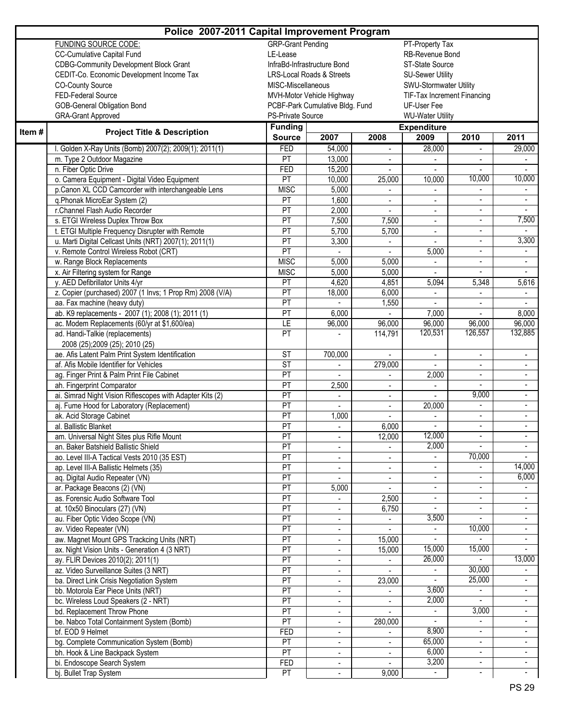|       |                                                                                             | Police 2007-2011 Capital Improvement Program<br><b>GRP-Grant Pending</b><br>PT-Property Tax<br>LE-Lease<br>RB-Revenue Bond<br>ST-State Source<br>InfraBd-Infrastructure Bond<br><b>LRS-Local Roads &amp; Streets</b><br><b>SU-Sewer Utility</b><br>SWU-Stormwater Utility<br>MISC-Miscellaneous<br>TIF-Tax Increment Financing<br>MVH-Motor Vehicle Highway<br>PCBF-Park Cumulative Bldg. Fund<br>UF-User Fee<br>PS-Private Source<br><b>WU-Water Utility</b><br><b>Funding</b><br><b>Expenditure</b><br><b>Source</b><br>2007<br>2008<br>2009<br>2010<br>2011<br>FED<br>54,000<br>28,000<br>29,000<br>$\overline{\phantom{a}}$<br>PT<br>13,000<br><b>FED</b><br>15,200<br>10,000<br>10,000<br>PT<br>10,000<br>25,000<br>10,000<br><b>MISC</b><br>5,000<br>PT<br>1,600<br>$\mathcal{L}^{\mathcal{L}}$<br>$\overline{\phantom{a}}$<br>÷.<br>PT<br>2,000<br>$\blacksquare$<br>$\blacksquare$<br>$\overline{\phantom{a}}$<br>7,500<br>PT<br>7,500<br>7,500<br>$\blacksquare$<br>$\overline{\phantom{a}}$<br>PT<br>5,700<br>5,700<br>$\blacksquare$<br>$\overline{\phantom{a}}$<br>3,300<br>PT<br>3,300<br>$\overline{\phantom{a}}$<br>PT<br>5,000<br>$\overline{\phantom{a}}$<br><b>MISC</b><br>5,000<br>5,000<br>$\overline{\phantom{a}}$<br><b>MISC</b><br>5,000<br>5,000<br>$\overline{a}$<br>PT<br>4,620<br>4,851<br>5,616<br>5,094<br>5,348<br>PT<br>18,000<br>6,000<br>$\blacksquare$<br>$\blacksquare$<br>PT<br>1,550<br>$\blacksquare$<br>$\blacksquare$ |                           |                          |                          |                           |                          |  |  |  |  |  |  |  |
|-------|---------------------------------------------------------------------------------------------|---------------------------------------------------------------------------------------------------------------------------------------------------------------------------------------------------------------------------------------------------------------------------------------------------------------------------------------------------------------------------------------------------------------------------------------------------------------------------------------------------------------------------------------------------------------------------------------------------------------------------------------------------------------------------------------------------------------------------------------------------------------------------------------------------------------------------------------------------------------------------------------------------------------------------------------------------------------------------------------------------------------------------------------------------------------------------------------------------------------------------------------------------------------------------------------------------------------------------------------------------------------------------------------------------------------------------------------------------------------------------------------------------------------------------------------------------------------|---------------------------|--------------------------|--------------------------|---------------------------|--------------------------|--|--|--|--|--|--|--|
|       | <b>FUNDING SOURCE CODE:</b>                                                                 |                                                                                                                                                                                                                                                                                                                                                                                                                                                                                                                                                                                                                                                                                                                                                                                                                                                                                                                                                                                                                                                                                                                                                                                                                                                                                                                                                                                                                                                               |                           |                          |                          |                           |                          |  |  |  |  |  |  |  |
|       | <b>CC-Cumulative Capital Fund</b>                                                           |                                                                                                                                                                                                                                                                                                                                                                                                                                                                                                                                                                                                                                                                                                                                                                                                                                                                                                                                                                                                                                                                                                                                                                                                                                                                                                                                                                                                                                                               |                           |                          |                          |                           |                          |  |  |  |  |  |  |  |
|       | <b>CDBG-Community Development Block Grant</b>                                               |                                                                                                                                                                                                                                                                                                                                                                                                                                                                                                                                                                                                                                                                                                                                                                                                                                                                                                                                                                                                                                                                                                                                                                                                                                                                                                                                                                                                                                                               |                           |                          |                          |                           |                          |  |  |  |  |  |  |  |
|       | CEDIT-Co. Economic Development Income Tax                                                   |                                                                                                                                                                                                                                                                                                                                                                                                                                                                                                                                                                                                                                                                                                                                                                                                                                                                                                                                                                                                                                                                                                                                                                                                                                                                                                                                                                                                                                                               |                           |                          |                          |                           |                          |  |  |  |  |  |  |  |
|       | <b>CO-County Source</b>                                                                     |                                                                                                                                                                                                                                                                                                                                                                                                                                                                                                                                                                                                                                                                                                                                                                                                                                                                                                                                                                                                                                                                                                                                                                                                                                                                                                                                                                                                                                                               |                           |                          |                          |                           |                          |  |  |  |  |  |  |  |
|       | FED-Federal Source                                                                          |                                                                                                                                                                                                                                                                                                                                                                                                                                                                                                                                                                                                                                                                                                                                                                                                                                                                                                                                                                                                                                                                                                                                                                                                                                                                                                                                                                                                                                                               |                           |                          |                          |                           |                          |  |  |  |  |  |  |  |
|       | <b>GOB-General Obligation Bond</b>                                                          |                                                                                                                                                                                                                                                                                                                                                                                                                                                                                                                                                                                                                                                                                                                                                                                                                                                                                                                                                                                                                                                                                                                                                                                                                                                                                                                                                                                                                                                               |                           |                          |                          |                           |                          |  |  |  |  |  |  |  |
|       | <b>GRA-Grant Approved</b>                                                                   |                                                                                                                                                                                                                                                                                                                                                                                                                                                                                                                                                                                                                                                                                                                                                                                                                                                                                                                                                                                                                                                                                                                                                                                                                                                                                                                                                                                                                                                               |                           |                          |                          |                           |                          |  |  |  |  |  |  |  |
| Item# | <b>Project Title &amp; Description</b>                                                      |                                                                                                                                                                                                                                                                                                                                                                                                                                                                                                                                                                                                                                                                                                                                                                                                                                                                                                                                                                                                                                                                                                                                                                                                                                                                                                                                                                                                                                                               |                           |                          |                          |                           |                          |  |  |  |  |  |  |  |
|       |                                                                                             |                                                                                                                                                                                                                                                                                                                                                                                                                                                                                                                                                                                                                                                                                                                                                                                                                                                                                                                                                                                                                                                                                                                                                                                                                                                                                                                                                                                                                                                               |                           |                          |                          |                           |                          |  |  |  |  |  |  |  |
|       | I. Golden X-Ray Units (Bomb) 2007(2); 2009(1); 2011(1)                                      |                                                                                                                                                                                                                                                                                                                                                                                                                                                                                                                                                                                                                                                                                                                                                                                                                                                                                                                                                                                                                                                                                                                                                                                                                                                                                                                                                                                                                                                               |                           |                          |                          |                           |                          |  |  |  |  |  |  |  |
|       | m. Type 2 Outdoor Magazine                                                                  |                                                                                                                                                                                                                                                                                                                                                                                                                                                                                                                                                                                                                                                                                                                                                                                                                                                                                                                                                                                                                                                                                                                                                                                                                                                                                                                                                                                                                                                               |                           |                          |                          |                           |                          |  |  |  |  |  |  |  |
|       | n. Fiber Optic Drive                                                                        |                                                                                                                                                                                                                                                                                                                                                                                                                                                                                                                                                                                                                                                                                                                                                                                                                                                                                                                                                                                                                                                                                                                                                                                                                                                                                                                                                                                                                                                               |                           |                          |                          |                           |                          |  |  |  |  |  |  |  |
|       | o. Camera Equipment - Digital Video Equipment                                               |                                                                                                                                                                                                                                                                                                                                                                                                                                                                                                                                                                                                                                                                                                                                                                                                                                                                                                                                                                                                                                                                                                                                                                                                                                                                                                                                                                                                                                                               |                           |                          |                          |                           |                          |  |  |  |  |  |  |  |
|       | p.Canon XL CCD Camcorder with interchangeable Lens                                          |                                                                                                                                                                                                                                                                                                                                                                                                                                                                                                                                                                                                                                                                                                                                                                                                                                                                                                                                                                                                                                                                                                                                                                                                                                                                                                                                                                                                                                                               |                           |                          |                          |                           |                          |  |  |  |  |  |  |  |
|       | q.Phonak MicroEar System (2)                                                                |                                                                                                                                                                                                                                                                                                                                                                                                                                                                                                                                                                                                                                                                                                                                                                                                                                                                                                                                                                                                                                                                                                                                                                                                                                                                                                                                                                                                                                                               |                           |                          |                          |                           |                          |  |  |  |  |  |  |  |
|       | r.Channel Flash Audio Recorder                                                              |                                                                                                                                                                                                                                                                                                                                                                                                                                                                                                                                                                                                                                                                                                                                                                                                                                                                                                                                                                                                                                                                                                                                                                                                                                                                                                                                                                                                                                                               |                           |                          |                          |                           |                          |  |  |  |  |  |  |  |
|       | s. ETGI Wireless Duplex Throw Box                                                           |                                                                                                                                                                                                                                                                                                                                                                                                                                                                                                                                                                                                                                                                                                                                                                                                                                                                                                                                                                                                                                                                                                                                                                                                                                                                                                                                                                                                                                                               |                           |                          |                          |                           |                          |  |  |  |  |  |  |  |
|       | t. ETGI Multiple Frequency Disrupter with Remote                                            |                                                                                                                                                                                                                                                                                                                                                                                                                                                                                                                                                                                                                                                                                                                                                                                                                                                                                                                                                                                                                                                                                                                                                                                                                                                                                                                                                                                                                                                               |                           |                          |                          |                           |                          |  |  |  |  |  |  |  |
|       | u. Marti Digital Cellcast Units (NRT) 2007(1); 2011(1)                                      |                                                                                                                                                                                                                                                                                                                                                                                                                                                                                                                                                                                                                                                                                                                                                                                                                                                                                                                                                                                                                                                                                                                                                                                                                                                                                                                                                                                                                                                               |                           |                          |                          |                           |                          |  |  |  |  |  |  |  |
|       | v. Remote Control Wireless Robot (CRT)                                                      |                                                                                                                                                                                                                                                                                                                                                                                                                                                                                                                                                                                                                                                                                                                                                                                                                                                                                                                                                                                                                                                                                                                                                                                                                                                                                                                                                                                                                                                               |                           |                          |                          |                           |                          |  |  |  |  |  |  |  |
|       | w. Range Block Replacements                                                                 |                                                                                                                                                                                                                                                                                                                                                                                                                                                                                                                                                                                                                                                                                                                                                                                                                                                                                                                                                                                                                                                                                                                                                                                                                                                                                                                                                                                                                                                               |                           |                          |                          |                           |                          |  |  |  |  |  |  |  |
|       | x. Air Filtering system for Range                                                           |                                                                                                                                                                                                                                                                                                                                                                                                                                                                                                                                                                                                                                                                                                                                                                                                                                                                                                                                                                                                                                                                                                                                                                                                                                                                                                                                                                                                                                                               |                           |                          |                          |                           |                          |  |  |  |  |  |  |  |
|       | y. AED Defibrillator Units 4/yr                                                             |                                                                                                                                                                                                                                                                                                                                                                                                                                                                                                                                                                                                                                                                                                                                                                                                                                                                                                                                                                                                                                                                                                                                                                                                                                                                                                                                                                                                                                                               |                           |                          |                          |                           |                          |  |  |  |  |  |  |  |
|       | z. Copier (purchased) 2007 (1 Invs; 1 Prop Rm) 2008 (V/A)                                   |                                                                                                                                                                                                                                                                                                                                                                                                                                                                                                                                                                                                                                                                                                                                                                                                                                                                                                                                                                                                                                                                                                                                                                                                                                                                                                                                                                                                                                                               |                           |                          |                          |                           |                          |  |  |  |  |  |  |  |
|       | aa. Fax machine (heavy duty)                                                                |                                                                                                                                                                                                                                                                                                                                                                                                                                                                                                                                                                                                                                                                                                                                                                                                                                                                                                                                                                                                                                                                                                                                                                                                                                                                                                                                                                                                                                                               |                           |                          |                          |                           |                          |  |  |  |  |  |  |  |
|       | ab. K9 replacements - 2007 (1); 2008 (1); 2011 (1)                                          | PT                                                                                                                                                                                                                                                                                                                                                                                                                                                                                                                                                                                                                                                                                                                                                                                                                                                                                                                                                                                                                                                                                                                                                                                                                                                                                                                                                                                                                                                            | 6,000                     |                          | 7,000                    |                           | 8,000                    |  |  |  |  |  |  |  |
|       | ac. Modem Replacements (60/yr at \$1,600/ea)                                                | LE<br>PT                                                                                                                                                                                                                                                                                                                                                                                                                                                                                                                                                                                                                                                                                                                                                                                                                                                                                                                                                                                                                                                                                                                                                                                                                                                                                                                                                                                                                                                      | 96,000                    | 96,000                   | 96,000<br>120,531        | 96,000<br>126,557         | 96,000<br>132,885        |  |  |  |  |  |  |  |
|       | ad. Handi-Talkie (replacements)                                                             |                                                                                                                                                                                                                                                                                                                                                                                                                                                                                                                                                                                                                                                                                                                                                                                                                                                                                                                                                                                                                                                                                                                                                                                                                                                                                                                                                                                                                                                               |                           | 114,791                  |                          |                           |                          |  |  |  |  |  |  |  |
|       | 2008 (25);2009 (25); 2010 (25)                                                              | $\overline{\text{ST}}$                                                                                                                                                                                                                                                                                                                                                                                                                                                                                                                                                                                                                                                                                                                                                                                                                                                                                                                                                                                                                                                                                                                                                                                                                                                                                                                                                                                                                                        |                           |                          |                          |                           |                          |  |  |  |  |  |  |  |
|       | ae. Afis Latent Palm Print System Identification<br>af. Afis Mobile Identifier for Vehicles | ST                                                                                                                                                                                                                                                                                                                                                                                                                                                                                                                                                                                                                                                                                                                                                                                                                                                                                                                                                                                                                                                                                                                                                                                                                                                                                                                                                                                                                                                            | 700,000<br>$\overline{a}$ | 279,000                  | $\overline{a}$           | $\sim$                    | $\sim$                   |  |  |  |  |  |  |  |
|       | ag. Finger Print & Palm Print File Cabinet                                                  | PT                                                                                                                                                                                                                                                                                                                                                                                                                                                                                                                                                                                                                                                                                                                                                                                                                                                                                                                                                                                                                                                                                                                                                                                                                                                                                                                                                                                                                                                            | $\blacksquare$            | $\overline{\phantom{0}}$ | 2,000                    | $\blacksquare$            |                          |  |  |  |  |  |  |  |
|       | ah. Fingerprint Comparator                                                                  | PT                                                                                                                                                                                                                                                                                                                                                                                                                                                                                                                                                                                                                                                                                                                                                                                                                                                                                                                                                                                                                                                                                                                                                                                                                                                                                                                                                                                                                                                            | 2,500                     | $\overline{\phantom{a}}$ | $\overline{\phantom{a}}$ |                           |                          |  |  |  |  |  |  |  |
|       | ai. Simrad Night Vision Riflescopes with Adapter Kits (2)                                   | PT                                                                                                                                                                                                                                                                                                                                                                                                                                                                                                                                                                                                                                                                                                                                                                                                                                                                                                                                                                                                                                                                                                                                                                                                                                                                                                                                                                                                                                                            | $\overline{\phantom{a}}$  | $\overline{\phantom{a}}$ |                          | 9,000                     | $\blacksquare$           |  |  |  |  |  |  |  |
|       | aj. Fume Hood for Laboratory (Replacement)                                                  | PT                                                                                                                                                                                                                                                                                                                                                                                                                                                                                                                                                                                                                                                                                                                                                                                                                                                                                                                                                                                                                                                                                                                                                                                                                                                                                                                                                                                                                                                            | $\blacksquare$            | $\blacksquare$           | 20,000                   |                           | $\overline{\phantom{a}}$ |  |  |  |  |  |  |  |
|       | ak. Acid Storage Cabinet                                                                    | PT                                                                                                                                                                                                                                                                                                                                                                                                                                                                                                                                                                                                                                                                                                                                                                                                                                                                                                                                                                                                                                                                                                                                                                                                                                                                                                                                                                                                                                                            | 1,000                     |                          | $\blacksquare$           |                           |                          |  |  |  |  |  |  |  |
|       | al. Ballistic Blanket                                                                       | PT                                                                                                                                                                                                                                                                                                                                                                                                                                                                                                                                                                                                                                                                                                                                                                                                                                                                                                                                                                                                                                                                                                                                                                                                                                                                                                                                                                                                                                                            | $\overline{\phantom{a}}$  | 6,000                    |                          |                           |                          |  |  |  |  |  |  |  |
|       | am. Universal Night Sites plus Rifle Mount                                                  | PT                                                                                                                                                                                                                                                                                                                                                                                                                                                                                                                                                                                                                                                                                                                                                                                                                                                                                                                                                                                                                                                                                                                                                                                                                                                                                                                                                                                                                                                            |                           | 12,000                   | 12,000                   |                           |                          |  |  |  |  |  |  |  |
|       | an. Baker Batshield Ballistic Shield                                                        | PT                                                                                                                                                                                                                                                                                                                                                                                                                                                                                                                                                                                                                                                                                                                                                                                                                                                                                                                                                                                                                                                                                                                                                                                                                                                                                                                                                                                                                                                            | $\overline{\phantom{a}}$  |                          | 2,000                    |                           | $\sim$                   |  |  |  |  |  |  |  |
|       | ao. Level III-A Tactical Vests 2010 (35 EST)                                                | PT                                                                                                                                                                                                                                                                                                                                                                                                                                                                                                                                                                                                                                                                                                                                                                                                                                                                                                                                                                                                                                                                                                                                                                                                                                                                                                                                                                                                                                                            | $\overline{\phantom{a}}$  | $\overline{\phantom{0}}$ |                          | 70,000                    |                          |  |  |  |  |  |  |  |
|       | ap. Level III-A Ballistic Helmets (35)                                                      | PT                                                                                                                                                                                                                                                                                                                                                                                                                                                                                                                                                                                                                                                                                                                                                                                                                                                                                                                                                                                                                                                                                                                                                                                                                                                                                                                                                                                                                                                            | $\overline{\phantom{a}}$  |                          |                          |                           | 14,000                   |  |  |  |  |  |  |  |
|       | aq. Digital Audio Repeater (VN)                                                             | PT                                                                                                                                                                                                                                                                                                                                                                                                                                                                                                                                                                                                                                                                                                                                                                                                                                                                                                                                                                                                                                                                                                                                                                                                                                                                                                                                                                                                                                                            |                           | $\overline{\phantom{a}}$ |                          |                           | 6,000                    |  |  |  |  |  |  |  |
|       | ar. Package Beacons (2) (VN)                                                                | PT                                                                                                                                                                                                                                                                                                                                                                                                                                                                                                                                                                                                                                                                                                                                                                                                                                                                                                                                                                                                                                                                                                                                                                                                                                                                                                                                                                                                                                                            | 5,000                     |                          | $\overline{\phantom{a}}$ |                           |                          |  |  |  |  |  |  |  |
|       | as. Forensic Audio Software Tool                                                            | PT                                                                                                                                                                                                                                                                                                                                                                                                                                                                                                                                                                                                                                                                                                                                                                                                                                                                                                                                                                                                                                                                                                                                                                                                                                                                                                                                                                                                                                                            |                           | 2,500                    | $\overline{\phantom{a}}$ |                           |                          |  |  |  |  |  |  |  |
|       | at. 10x50 Binoculars (27) (VN)                                                              | $\overline{PT}$                                                                                                                                                                                                                                                                                                                                                                                                                                                                                                                                                                                                                                                                                                                                                                                                                                                                                                                                                                                                                                                                                                                                                                                                                                                                                                                                                                                                                                               |                           | 6,750                    |                          |                           |                          |  |  |  |  |  |  |  |
|       | au. Fiber Optic Video Scope (VN)                                                            | PT                                                                                                                                                                                                                                                                                                                                                                                                                                                                                                                                                                                                                                                                                                                                                                                                                                                                                                                                                                                                                                                                                                                                                                                                                                                                                                                                                                                                                                                            | $\blacksquare$            |                          | 3,500                    | $\mathbb{Z}^+$            | $\mathbf{r}$             |  |  |  |  |  |  |  |
|       | av. Video Repeater (VN)                                                                     | PT                                                                                                                                                                                                                                                                                                                                                                                                                                                                                                                                                                                                                                                                                                                                                                                                                                                                                                                                                                                                                                                                                                                                                                                                                                                                                                                                                                                                                                                            | $\overline{\phantom{a}}$  | $\overline{\phantom{0}}$ |                          | 10,000                    | $\sim$                   |  |  |  |  |  |  |  |
|       | aw. Magnet Mount GPS Trackcing Units (NRT)                                                  | PT                                                                                                                                                                                                                                                                                                                                                                                                                                                                                                                                                                                                                                                                                                                                                                                                                                                                                                                                                                                                                                                                                                                                                                                                                                                                                                                                                                                                                                                            | $\overline{\phantom{a}}$  | 15,000                   | $\overline{\phantom{a}}$ |                           |                          |  |  |  |  |  |  |  |
|       | ax. Night Vision Units - Generation 4 (3 NRT)                                               | PT                                                                                                                                                                                                                                                                                                                                                                                                                                                                                                                                                                                                                                                                                                                                                                                                                                                                                                                                                                                                                                                                                                                                                                                                                                                                                                                                                                                                                                                            | $\blacksquare$            | 15,000                   | 15,000                   | 15,000                    |                          |  |  |  |  |  |  |  |
|       | ay. FLIR Devices 2010(2); 2011(1)                                                           | PT                                                                                                                                                                                                                                                                                                                                                                                                                                                                                                                                                                                                                                                                                                                                                                                                                                                                                                                                                                                                                                                                                                                                                                                                                                                                                                                                                                                                                                                            | $\blacksquare$            |                          | 26,000                   |                           | 13,000                   |  |  |  |  |  |  |  |
|       | az. Video Surveillance Suites (3 NRT)                                                       | PT                                                                                                                                                                                                                                                                                                                                                                                                                                                                                                                                                                                                                                                                                                                                                                                                                                                                                                                                                                                                                                                                                                                                                                                                                                                                                                                                                                                                                                                            | $\overline{\phantom{a}}$  |                          |                          | 30,000                    |                          |  |  |  |  |  |  |  |
|       | ba. Direct Link Crisis Negotiation System                                                   | PT                                                                                                                                                                                                                                                                                                                                                                                                                                                                                                                                                                                                                                                                                                                                                                                                                                                                                                                                                                                                                                                                                                                                                                                                                                                                                                                                                                                                                                                            | $\overline{\phantom{a}}$  | 23,000                   |                          | 25,000                    |                          |  |  |  |  |  |  |  |
|       | bb. Motorola Ear Piece Units (NRT)                                                          | PT                                                                                                                                                                                                                                                                                                                                                                                                                                                                                                                                                                                                                                                                                                                                                                                                                                                                                                                                                                                                                                                                                                                                                                                                                                                                                                                                                                                                                                                            | $\overline{\phantom{a}}$  |                          | 3,600                    |                           |                          |  |  |  |  |  |  |  |
|       | bc. Wireless Loud Speakers (2 - NRT)                                                        | PT                                                                                                                                                                                                                                                                                                                                                                                                                                                                                                                                                                                                                                                                                                                                                                                                                                                                                                                                                                                                                                                                                                                                                                                                                                                                                                                                                                                                                                                            | $\blacksquare$            |                          | 2,000                    | $\mathbb{Z}^{\mathbb{Z}}$ | $\mathbf{r}$             |  |  |  |  |  |  |  |
|       | bd. Replacement Throw Phone                                                                 | PT                                                                                                                                                                                                                                                                                                                                                                                                                                                                                                                                                                                                                                                                                                                                                                                                                                                                                                                                                                                                                                                                                                                                                                                                                                                                                                                                                                                                                                                            | $\overline{\phantom{a}}$  |                          |                          | 3,000                     | $\blacksquare$           |  |  |  |  |  |  |  |
|       | be. Nabco Total Containment System (Bomb)                                                   | PT                                                                                                                                                                                                                                                                                                                                                                                                                                                                                                                                                                                                                                                                                                                                                                                                                                                                                                                                                                                                                                                                                                                                                                                                                                                                                                                                                                                                                                                            | $\overline{\phantom{a}}$  | 280,000                  | $\overline{\phantom{a}}$ |                           |                          |  |  |  |  |  |  |  |
|       | bf. EOD 9 Helmet                                                                            | FED                                                                                                                                                                                                                                                                                                                                                                                                                                                                                                                                                                                                                                                                                                                                                                                                                                                                                                                                                                                                                                                                                                                                                                                                                                                                                                                                                                                                                                                           | $\overline{\phantom{a}}$  |                          | 8,900                    |                           |                          |  |  |  |  |  |  |  |
|       | bg. Complete Communication System (Bomb)                                                    | PT                                                                                                                                                                                                                                                                                                                                                                                                                                                                                                                                                                                                                                                                                                                                                                                                                                                                                                                                                                                                                                                                                                                                                                                                                                                                                                                                                                                                                                                            | $\blacksquare$            |                          | 65,000                   | $\blacksquare$            | $\overline{\phantom{a}}$ |  |  |  |  |  |  |  |
|       | bh. Hook & Line Backpack System                                                             | PT                                                                                                                                                                                                                                                                                                                                                                                                                                                                                                                                                                                                                                                                                                                                                                                                                                                                                                                                                                                                                                                                                                                                                                                                                                                                                                                                                                                                                                                            | $\overline{\phantom{a}}$  |                          | 6,000                    |                           |                          |  |  |  |  |  |  |  |
|       | bi. Endoscope Search System                                                                 | <b>FED</b>                                                                                                                                                                                                                                                                                                                                                                                                                                                                                                                                                                                                                                                                                                                                                                                                                                                                                                                                                                                                                                                                                                                                                                                                                                                                                                                                                                                                                                                    | $\overline{\phantom{a}}$  |                          | 3,200                    |                           |                          |  |  |  |  |  |  |  |
|       | bj. Bullet Trap System                                                                      | PT                                                                                                                                                                                                                                                                                                                                                                                                                                                                                                                                                                                                                                                                                                                                                                                                                                                                                                                                                                                                                                                                                                                                                                                                                                                                                                                                                                                                                                                            |                           | 9,000                    |                          |                           |                          |  |  |  |  |  |  |  |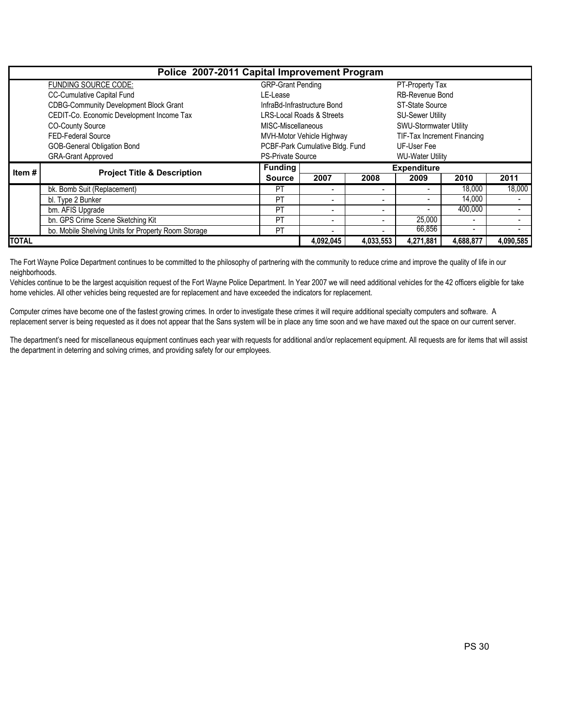|              | Police 2007-2011 Capital Improvement Program        |                                      |                                 |                             |                          |                          |           |  |  |  |  |  |
|--------------|-----------------------------------------------------|--------------------------------------|---------------------------------|-----------------------------|--------------------------|--------------------------|-----------|--|--|--|--|--|
|              | FUNDING SOURCE CODE:                                | <b>GRP-Grant Pending</b>             |                                 |                             | PT-Property Tax          |                          |           |  |  |  |  |  |
|              | <b>CC-Cumulative Capital Fund</b>                   | LE-Lease                             |                                 |                             | <b>RB-Revenue Bond</b>   |                          |           |  |  |  |  |  |
|              | <b>CDBG-Community Development Block Grant</b>       |                                      | InfraBd-Infrastructure Bond     |                             | ST-State Source          |                          |           |  |  |  |  |  |
|              | CEDIT-Co. Economic Development Income Tax           | <b>LRS-Local Roads &amp; Streets</b> |                                 | <b>SU-Sewer Utility</b>     |                          |                          |           |  |  |  |  |  |
|              | <b>CO-County Source</b>                             | MISC-Miscellaneous                   |                                 | SWU-Stormwater Utility      |                          |                          |           |  |  |  |  |  |
|              | <b>FED-Federal Source</b>                           | MVH-Motor Vehicle Highway            |                                 | TIF-Tax Increment Financing |                          |                          |           |  |  |  |  |  |
|              | GOB-General Obligation Bond                         |                                      | PCBF-Park Cumulative Bldg. Fund |                             | UF-User Fee              |                          |           |  |  |  |  |  |
|              | <b>GRA-Grant Approved</b>                           | <b>PS-Private Source</b>             |                                 |                             | <b>WU-Water Utility</b>  |                          |           |  |  |  |  |  |
| Item#        | <b>Project Title &amp; Description</b>              | <b>Funding</b>                       | <b>Expenditure</b>              |                             |                          |                          |           |  |  |  |  |  |
|              |                                                     | <b>Source</b>                        | 2007                            | 2008                        | 2009                     | 2010                     | 2011      |  |  |  |  |  |
|              | bk. Bomb Suit (Replacement)                         | <b>PT</b>                            |                                 |                             | $\overline{\phantom{0}}$ | 18,000                   | 18,000    |  |  |  |  |  |
|              | bl. Type 2 Bunker                                   | <b>PT</b>                            | $\blacksquare$                  |                             | ٠                        | 14,000                   |           |  |  |  |  |  |
|              | bm. AFIS Upgrade                                    | <b>PT</b>                            | $\blacksquare$                  | $\overline{\phantom{0}}$    | $\overline{\phantom{0}}$ | 400.000                  |           |  |  |  |  |  |
|              | bn. GPS Crime Scene Sketching Kit                   | <b>PT</b>                            | $\overline{\phantom{0}}$        |                             | 25,000                   | $\overline{\phantom{a}}$ |           |  |  |  |  |  |
|              | bo. Mobile Shelving Units for Property Room Storage | PT                                   |                                 |                             | 66,856                   | $\overline{\phantom{0}}$ |           |  |  |  |  |  |
| <b>TOTAL</b> |                                                     |                                      | 4,092,045                       | 4,033,553                   | 4,271,881                | 4,688,877                | 4,090,585 |  |  |  |  |  |

The Fort Wayne Police Department continues to be committed to the philosophy of partnering with the community to reduce crime and improve the quality of life in our neighborhoods.

Vehicles continue to be the largest acquisition request of the Fort Wayne Police Department. In Year 2007 we will need additional vehicles for the 42 officers eligible for take home vehicles. All other vehicles being requested are for replacement and have exceeded the indicators for replacement.

Computer crimes have become one of the fastest growing crimes. In order to investigate these crimes it will require additional specialty computers and software. A replacement server is being requested as it does not appear that the Sans system will be in place any time soon and we have maxed out the space on our current server.

The department's need for miscellaneous equipment continues each year with requests for additional and/or replacement equipment. All requests are for items that will assist the department in deterring and solving crimes, and providing safety for our employees.